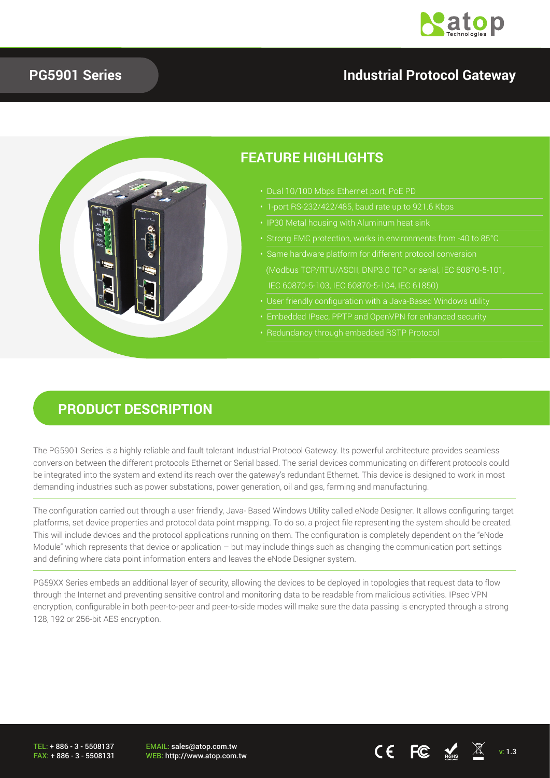

#### **PG5901 Series**

## **Industrial Protocol Gateway**



## **PRODUCT DESCRIPTION**

The PG5901 Series is a highly reliable and fault tolerant Industrial Protocol Gateway. Its powerful architecture provides seamless conversion between the different protocols Ethernet or Serial based. The serial devices communicating on different protocols could be integrated into the system and extend its reach over the gateway's redundant Ethernet. This device is designed to work in most demanding industries such as power substations, power generation, oil and gas, farming and manufacturing.

The configuration carried out through a user friendly, Java- Based Windows Utility called eNode Designer. It allows configuring target platforms, set device properties and protocol data point mapping. To do so, a project file representing the system should be created. This will include devices and the protocol applications running on them. The configuration is completely dependent on the "eNode Module" which represents that device or application – but may include things such as changing the communication port settings and defining where data point information enters and leaves the eNode Designer system.

PG59XX Series embeds an additional layer of security, allowing the devices to be deployed in topologies that request data to flow through the Internet and preventing sensitive control and monitoring data to be readable from malicious activities. IPsec VPN encryption, configurable in both peer-to-peer and peer-to-side modes will make sure the data passing is encrypted through a strong 128, 192 or 256-bit AES encryption.

TEL: + 886 - 3 - 5508137 FAX: + 886 - 3 - 5508131 EMAIL: sales@atop.com.tw

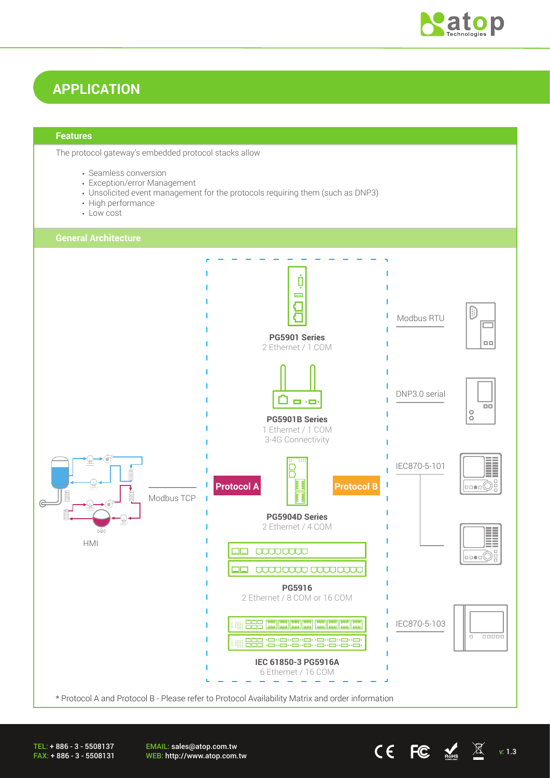

# **APPLICATION**

#### **Features**

The protocol gateway's embedded protocol stacks allow

- Seamless conversion
- Exception/error Management
- Unsolicited event management for the protocols requiring them (such as DNP3)
- High performance
- Low cost



EMAIL: sales@atop.com.tw EWAIL. Saleswatop.com.tw  $\mathsf{CE}$   $\mathsf{FC}$   $\mathsf{M}$  v: 1.3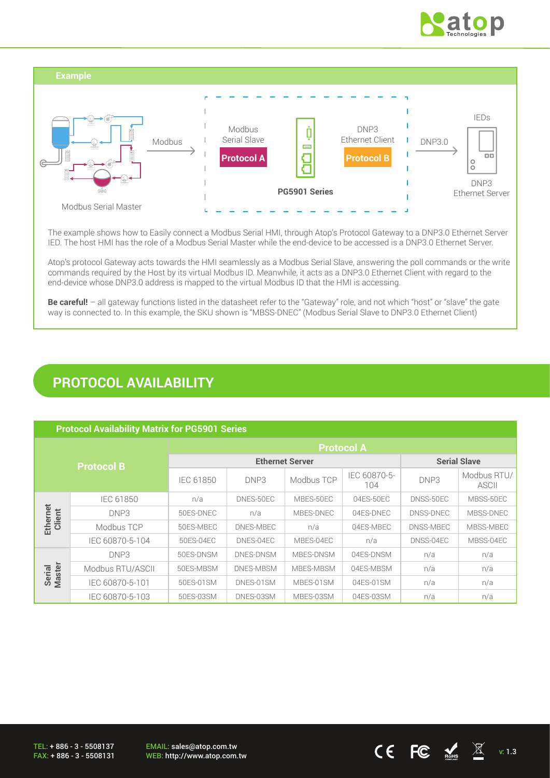



The example shows how to Easily connect a Modbus Serial HMI, through Atop's Protocol Gateway to a DNP3.0 Ethernet Server IED. The host HMI has the role of a Modbus Serial Master while the end-device to be accessed is a DNP3.0 Ethernet Server.

Atop's protocol Gateway acts towards the HMI seamlessly as a Modbus Serial Slave, answering the poll commands or the write commands required by the Host by its virtual Modbus ID. Meanwhile, it acts as a DNP3.0 Ethernet Client with regard to the end-device whose DNP3.0 address is mapped to the virtual Modbus ID that the HMI is accessing.

**Be careful!** – all gateway functions listed in the datasheet refer to the "Gateway" role, and not which "host" or "slave" the gate way is connected to. In this example, the SKU shown is "MBSS-DNEC" (Modbus Serial Slave to DNP3.0 Ethernet Client)

## **PROTOCOL AVAILABILITY**

#### **Protocol Availability Matrix for PG5901 Series**

| <b>Protocol B</b>       |                  | <b>Protocol A</b>      |           |            |                     |                     |                      |
|-------------------------|------------------|------------------------|-----------|------------|---------------------|---------------------|----------------------|
|                         |                  | <b>Ethernet Server</b> |           |            |                     | <b>Serial Slave</b> |                      |
|                         |                  | IEC 61850              | DNP3      | Modbus TCP | IEC 60870-5-<br>104 | DNP3                | Modbus RTU/<br>ASCII |
|                         | IEC 61850        | n/a                    | DNES-50EC | MBES-50EC  | 04ES-50EC           | DNSS-50EC           | MBSS-50EC            |
| Ethernet<br>Client      | DNP3             | 50ES-DNEC              | n/a       | MBES-DNEC  | 04ES-DNEC           | DNSS-DNEC           | MBSS-DNEC            |
|                         | Modbus TCP       | 50ES-MBEC              | DNES-MBEC | n/a        | 04ES-MBEC           | DNSS-MBEC           | MBSS-MBEC            |
|                         | IEC 60870-5-104  | 50ES-04EC              | DNES-04EC | MBES-04EC  | n/a                 | DNSS-04EC           | MBSS-04EC            |
|                         | DNP3             | 50ES-DNSM              | DNES-DNSM | MBES-DNSM  | 04ES-DNSM           | n/a                 | n/a                  |
| <b>Master</b><br>Serial | Modbus RTU/ASCII | 50ES-MBSM              | DNES-MBSM | MBES-MBSM  | 04ES-MBSM           | n/a                 | n/a                  |
|                         | IEC 60870-5-101  | 50ES-01SM              | DNES-01SM | MBES-01SM  | 04ES-01SM           | n/a                 | n/a                  |
|                         | IEC 60870-5-103  | 50ES-03SM              | DNES-03SM | MBES-03SM  | 04ES-03SM           | n/a                 | n/a                  |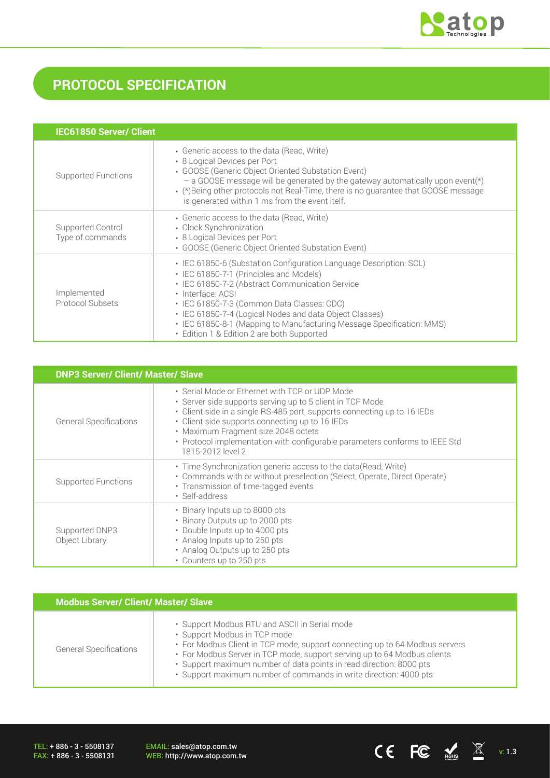

# **PROTOCOL SPECIFICATION**

| <b>IEC61850 Server/ Client</b>        |                                                                                                                                                                                                                                                                                                                                                                                                                       |
|---------------------------------------|-----------------------------------------------------------------------------------------------------------------------------------------------------------------------------------------------------------------------------------------------------------------------------------------------------------------------------------------------------------------------------------------------------------------------|
| Supported Functions                   | • Generic access to the data (Read, Write)<br>• 8 Logical Devices per Port<br>• GOOSE (Generic Object Oriented Substation Event)<br>- a GOOSE message will be generated by the gateway automatically upon event(*)<br>• (*) Being other protocols not Real-Time, there is no guarantee that GOOSE message<br>is generated within 1 ms from the event itelf.                                                           |
| Supported Control<br>Type of commands | • Generic access to the data (Read, Write)<br>• Clock Synchronization<br>• 8 Logical Devices per Port<br>• GOOSE (Generic Object Oriented Substation Event)                                                                                                                                                                                                                                                           |
| Implemented<br>Protocol Subsets       | • IEC 61850-6 (Substation Configuration Language Description: SCL)<br>• IEC 61850-7-1 (Principles and Models)<br>• IEC 61850-7-2 (Abstract Communication Service<br>· Interface: ACSI<br>· IEC 61850-7-3 (Common Data Classes: CDC)<br>• IEC 61850-7-4 (Logical Nodes and data Object Classes)<br>• IEC 61850-8-1 (Mapping to Manufacturing Message Specification: MMS)<br>• Edition 1 & Edition 2 are both Supported |

| <b>DNP3 Server/ Client/ Master/ Slave</b> |                                                                                                                                                                                                                                                                                                                                                                                       |  |  |
|-------------------------------------------|---------------------------------------------------------------------------------------------------------------------------------------------------------------------------------------------------------------------------------------------------------------------------------------------------------------------------------------------------------------------------------------|--|--|
| <b>General Specifications</b>             | • Serial Mode or Ethernet with TCP or UDP Mode<br>• Server side supports serving up to 5 client in TCP Mode<br>• Client side in a single RS-485 port, supports connecting up to 16 IEDs<br>• Client side supports connecting up to 16 IEDs<br>• Maximum Fragment size 2048 octets<br>• Protocol implementation with configurable parameters conforms to IEEE Std<br>1815-2012 level 2 |  |  |
| <b>Supported Functions</b>                | · Time Synchronization generic access to the data(Read, Write)<br>• Commands with or without preselection (Select, Operate, Direct Operate)<br>• Transmission of time-tagged events<br>· Self-address                                                                                                                                                                                 |  |  |
| Supported DNP3<br>Object Library          | • Binary Inputs up to 8000 pts<br>• Binary Outputs up to 2000 pts<br>• Double Inputs up to 4000 pts<br>• Analog Inputs up to 250 pts<br>• Analog Outputs up to 250 pts<br>• Counters up to 250 pts                                                                                                                                                                                    |  |  |

| <b>Modbus Server/ Client/ Master/ Slave</b> |                                                                                                                                                                                                                                                                                                                                                                                      |  |  |  |
|---------------------------------------------|--------------------------------------------------------------------------------------------------------------------------------------------------------------------------------------------------------------------------------------------------------------------------------------------------------------------------------------------------------------------------------------|--|--|--|
| <b>General Specifications</b>               | • Support Modbus RTU and ASCII in Serial mode<br>• Support Modbus in TCP mode<br>• For Modbus Client in TCP mode, support connecting up to 64 Modbus servers<br>• For Modbus Server in TCP mode, support serving up to 64 Modbus clients<br>· Support maximum number of data points in read direction: 8000 pts<br>· Support maximum number of commands in write direction: 4000 pts |  |  |  |

TEL: + 886 - 3 - 5508137 FAX: + 886 - 3 - 5508131 EMAIL: sales@atop.com.tw<br>WEB: http://www.atop.com.tw

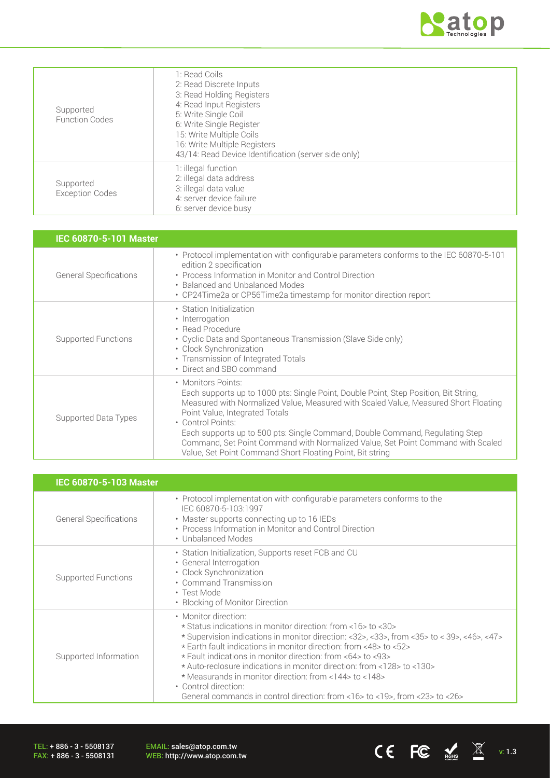

| Supported<br><b>Function Codes</b>  | 1: Read Coils<br>2: Read Discrete Inputs<br>3: Read Holding Registers<br>4: Read Input Registers<br>5: Write Single Coil<br>6: Write Single Register<br>15: Write Multiple Coils<br>16: Write Multiple Registers<br>43/14: Read Device Identification (server side only) |
|-------------------------------------|--------------------------------------------------------------------------------------------------------------------------------------------------------------------------------------------------------------------------------------------------------------------------|
| Supported<br><b>Exception Codes</b> | 1: illegal function<br>2: illegal data address<br>3: illegal data value<br>4: server device failure<br>6: server device busy                                                                                                                                             |

| IEC 60870-5-101 Master        |                                                                                                                                                                                                                                                                                                                                                                                                                                                                                          |
|-------------------------------|------------------------------------------------------------------------------------------------------------------------------------------------------------------------------------------------------------------------------------------------------------------------------------------------------------------------------------------------------------------------------------------------------------------------------------------------------------------------------------------|
| <b>General Specifications</b> | • Protocol implementation with configurable parameters conforms to the IEC 60870-5-101<br>edition 2 specification<br>• Process Information in Monitor and Control Direction<br>• Balanced and Unbalanced Modes<br>• CP24Time2a or CP56Time2a timestamp for monitor direction report                                                                                                                                                                                                      |
| Supported Functions           | • Station Initialization<br>• Interrogation<br>• Read Procedure<br>• Cyclic Data and Spontaneous Transmission (Slave Side only)<br>• Clock Synchronization<br>• Transmission of Integrated Totals<br>• Direct and SBO command                                                                                                                                                                                                                                                            |
| Supported Data Types          | • Monitors Points:<br>Each supports up to 1000 pts: Single Point, Double Point, Step Position, Bit String,<br>Measured with Normalized Value, Measured with Scaled Value, Measured Short Floating<br>Point Value, Integrated Totals<br>• Control Points:<br>Each supports up to 500 pts: Single Command, Double Command, Regulating Step<br>Command, Set Point Command with Normalized Value, Set Point Command with Scaled<br>Value, Set Point Command Short Floating Point, Bit string |

| <b>IEC 60870-5-103 Master</b> |                                                                                                                                                                                                                                                                                                                                                                                                                                                                                                                                                                           |
|-------------------------------|---------------------------------------------------------------------------------------------------------------------------------------------------------------------------------------------------------------------------------------------------------------------------------------------------------------------------------------------------------------------------------------------------------------------------------------------------------------------------------------------------------------------------------------------------------------------------|
| <b>General Specifications</b> | • Protocol implementation with configurable parameters conforms to the<br>IEC 60870-5-103:1997<br>• Master supports connecting up to 16 IEDs<br>• Process Information in Monitor and Control Direction<br>• Unbalanced Modes                                                                                                                                                                                                                                                                                                                                              |
| Supported Functions           | • Station Initialization, Supports reset FCB and CU<br>· General Interrogation<br>• Clock Synchronization<br>• Command Transmission<br>• Test Mode<br>• Blocking of Monitor Direction                                                                                                                                                                                                                                                                                                                                                                                     |
| Supported Information         | • Monitor direction:<br>* Status indications in monitor direction: from <16>to <30><br>* Supervision indications in monitor direction: <32>, <33>, from <35> to < 39>, <46>, <47><br>* Earth fault indications in monitor direction: from <48> to <52><br>* Fault indications in monitor direction: from <64> to <93><br>* Auto-reclosure indications in monitor direction: from <128> to <130><br>* Measurands in monitor direction: from <144> to <148><br>• Control direction:<br>General commands in control direction: from $<16>$ to $<19>$ , from $<23>$ to $<26>$ |

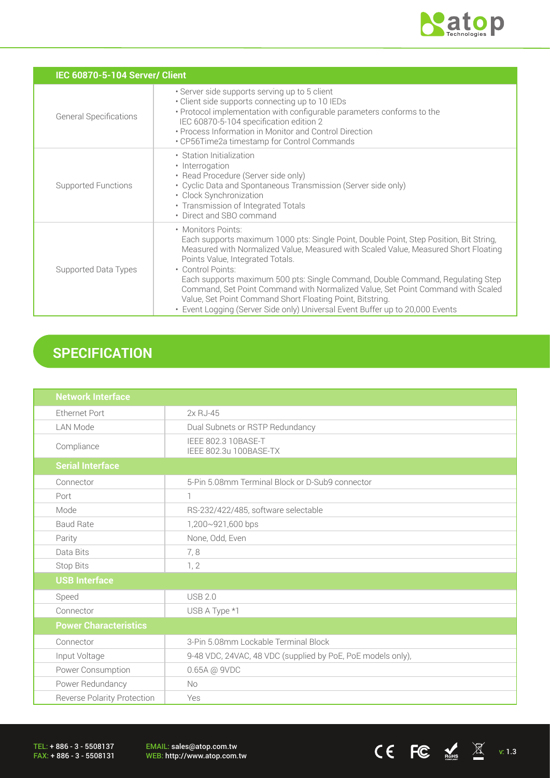

CE FC  $\underset{\text{nohs}}{\mathbb{Z}}$   $\mathbb{Z}$  v: 1.3

| IEC 60870-5-104 Server/ Client |                                                                                                                                                                                                                                                                                                                                                                                                                                                                                                                                                                                 |  |  |  |
|--------------------------------|---------------------------------------------------------------------------------------------------------------------------------------------------------------------------------------------------------------------------------------------------------------------------------------------------------------------------------------------------------------------------------------------------------------------------------------------------------------------------------------------------------------------------------------------------------------------------------|--|--|--|
| <b>General Specifications</b>  | · Server side supports serving up to 5 client<br>• Client side supports connecting up to 10 IEDs<br>• Protocol implementation with configurable parameters conforms to the<br>IEC 60870-5-104 specification edition 2<br>• Process Information in Monitor and Control Direction<br>• CP56Time2a timestamp for Control Commands                                                                                                                                                                                                                                                  |  |  |  |
| <b>Supported Functions</b>     | • Station Initialization<br>• Interrogation<br>• Read Procedure (Server side only)<br>• Cyclic Data and Spontaneous Transmission (Server side only)<br>• Clock Synchronization<br>• Transmission of Integrated Totals<br>• Direct and SBO command                                                                                                                                                                                                                                                                                                                               |  |  |  |
| Supported Data Types           | • Monitors Points:<br>Each supports maximum 1000 pts: Single Point, Double Point, Step Position, Bit String,<br>Measured with Normalized Value, Measured with Scaled Value, Measured Short Floating<br>Points Value, Integrated Totals.<br>• Control Points:<br>Each supports maximum 500 pts: Single Command, Double Command, Regulating Step<br>Command, Set Point Command with Normalized Value, Set Point Command with Scaled<br>Value, Set Point Command Short Floating Point, Bitstring.<br>• Event Logging (Server Side only) Universal Event Buffer up to 20,000 Events |  |  |  |

# **SPECIFICATION**

| <b>Network Interface</b>           |                                                             |  |  |
|------------------------------------|-------------------------------------------------------------|--|--|
| <b>Ethernet Port</b>               | 2x RJ-45                                                    |  |  |
| <b>LAN Mode</b>                    | Dual Subnets or RSTP Redundancy                             |  |  |
| Compliance                         | <b>IEEE 802.3 10BASE-T</b><br>IEEE 802.3u 100BASE-TX        |  |  |
| <b>Serial Interface</b>            |                                                             |  |  |
| Connector                          | 5-Pin 5.08mm Terminal Block or D-Sub9 connector             |  |  |
| Port                               | 1                                                           |  |  |
| Mode                               | RS-232/422/485, software selectable                         |  |  |
| <b>Baud Rate</b>                   | 1,200~921,600 bps                                           |  |  |
| Parity                             | None, Odd, Even                                             |  |  |
| Data Bits                          | 7,8                                                         |  |  |
| Stop Bits                          | 1, 2                                                        |  |  |
| <b>USB Interface</b>               |                                                             |  |  |
| Speed                              | <b>USB 2.0</b>                                              |  |  |
| Connector                          | USB A Type *1                                               |  |  |
| <b>Power Characteristics</b>       |                                                             |  |  |
| Connector                          | 3-Pin 5.08mm Lockable Terminal Block                        |  |  |
| Input Voltage                      | 9-48 VDC, 24VAC, 48 VDC (supplied by PoE, PoE models only), |  |  |
| Power Consumption                  | 0.65A @ 9VDC                                                |  |  |
| Power Redundancy                   | No                                                          |  |  |
| <b>Reverse Polarity Protection</b> | Yes                                                         |  |  |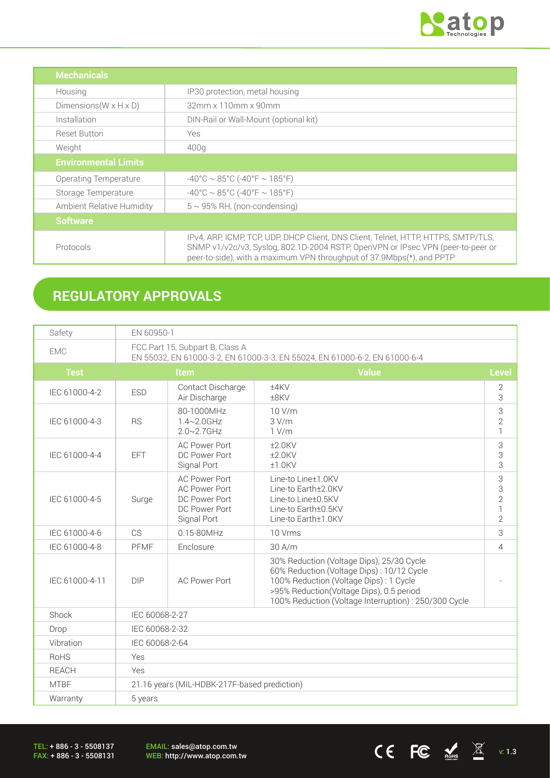

CE FC  $\underset{\text{nohs}}{\mathbb{E}}$   $\mathbb{E}$  v: 1.3

| <b>Mechanicals</b>                                                                                                                                                                                                                                          |                                        |
|-------------------------------------------------------------------------------------------------------------------------------------------------------------------------------------------------------------------------------------------------------------|----------------------------------------|
| Housing                                                                                                                                                                                                                                                     | IP30 protection, metal housing         |
| Dimensions ( $W \times H \times D$ )                                                                                                                                                                                                                        | 32mm x 110mm x 90mm                    |
| Installation                                                                                                                                                                                                                                                | DIN-Rail or Wall-Mount (optional kit)  |
| <b>Reset Button</b>                                                                                                                                                                                                                                         | Yes                                    |
| Weight<br>400q                                                                                                                                                                                                                                              |                                        |
| <b>Environmental Limits</b>                                                                                                                                                                                                                                 |                                        |
| Operating Temperature                                                                                                                                                                                                                                       | $-40^{\circ}$ C ~ 85°C (-40°F ~ 185°F) |
| $-40^{\circ}$ C ~ 85°C (-40°F ~ 185°F)<br>Storage Temperature                                                                                                                                                                                               |                                        |
| $5 \sim 95\%$ RH, (non-condensing)<br>Ambient Relative Humidity                                                                                                                                                                                             |                                        |
| <b>Software</b>                                                                                                                                                                                                                                             |                                        |
| IPv4, ARP, ICMP, TCP, UDP, DHCP Client, DNS Client, Telnet, HTTP, HTTPS, SMTP/TLS,<br>SNMP v1/v2c/v3, Syslog, 802.1D-2004 RSTP, OpenVPN or IPsec VPN (peer-to-peer or<br>Protocols<br>peer-to-side), with a maximum VPN throughput of 37.9Mbps(*), and PPTP |                                        |

# **REGULATORY APPROVALS**

| Safety         | EN 60950-1                                                                                                    |                                                                                               |                                                                                                                                                                                                                                      |                     |  |
|----------------|---------------------------------------------------------------------------------------------------------------|-----------------------------------------------------------------------------------------------|--------------------------------------------------------------------------------------------------------------------------------------------------------------------------------------------------------------------------------------|---------------------|--|
| <b>EMC</b>     | FCC Part 15, Subpart B, Class A<br>EN 55032, EN 61000-3-2, EN 61000-3-3, EN 55024, EN 61000-6-2, EN 61000-6-4 |                                                                                               |                                                                                                                                                                                                                                      |                     |  |
| <b>Test</b>    | <b>Value</b><br><b>Item</b>                                                                                   |                                                                                               | Level                                                                                                                                                                                                                                |                     |  |
| IEC 61000-4-2  | <b>ESD</b>                                                                                                    | Contact Discharge<br>Air Discharge                                                            | ±4KV<br>±8KV                                                                                                                                                                                                                         | $\overline{2}$<br>3 |  |
| IEC 61000-4-3  | <b>RS</b>                                                                                                     | 80-1000MHz<br>1.4~2.0GHz<br>$2.0 - 2.7$ GHz                                                   | 3<br>10 V/m<br>$\overline{2}$<br>3 V/m<br>$\mathbf{1}$<br>1 V/m                                                                                                                                                                      |                     |  |
| IEC 61000-4-4  | <b>EFT</b>                                                                                                    | <b>AC Power Port</b><br>DC Power Port<br>Signal Port                                          | 3<br>$±2.0$ KV<br>3<br>$±2.0$ KV<br>3<br>$±1.0$ KV                                                                                                                                                                                   |                     |  |
| IEC 61000-4-5  | Surge                                                                                                         | <b>AC Power Port</b><br><b>AC Power Port</b><br>DC Power Port<br>DC Power Port<br>Signal Port | Line-to Line±1.0KV<br>Line-to Earth±2.0KV<br>Line-to Line±0.5KV<br>Line-to Earth±0.5KV<br>Line-to Earth±1.0KV                                                                                                                        |                     |  |
| IEC 61000-4-6  | CS                                                                                                            | $0.15 - 80$ MHz                                                                               | 10 Vrms                                                                                                                                                                                                                              |                     |  |
| IEC 61000-4-8  | <b>PFMF</b>                                                                                                   | Enclosure                                                                                     | 30 A/m                                                                                                                                                                                                                               |                     |  |
| IEC 61000-4-11 | <b>DIP</b>                                                                                                    | <b>AC Power Port</b>                                                                          | 30% Reduction (Voltage Dips), 25/30 Cycle<br>60% Reduction (Voltage Dips): 10/12 Cycle<br>100% Reduction (Voltage Dips): 1 Cycle<br>>95% Reduction(Voltage Dips), 0.5 period<br>100% Reduction (Voltage Interruption): 250/300 Cycle |                     |  |
| Shock          | IEC 60068-2-27                                                                                                |                                                                                               |                                                                                                                                                                                                                                      |                     |  |
| Drop           | IEC 60068-2-32                                                                                                |                                                                                               |                                                                                                                                                                                                                                      |                     |  |
| Vibration      | IEC 60068-2-64                                                                                                |                                                                                               |                                                                                                                                                                                                                                      |                     |  |
| <b>RoHS</b>    | Yes                                                                                                           |                                                                                               |                                                                                                                                                                                                                                      |                     |  |
| <b>REACH</b>   | Yes                                                                                                           |                                                                                               |                                                                                                                                                                                                                                      |                     |  |
| <b>MTBF</b>    | 21.16 years (MIL-HDBK-217F-based prediction)                                                                  |                                                                                               |                                                                                                                                                                                                                                      |                     |  |
| Warranty       | 5 years                                                                                                       |                                                                                               |                                                                                                                                                                                                                                      |                     |  |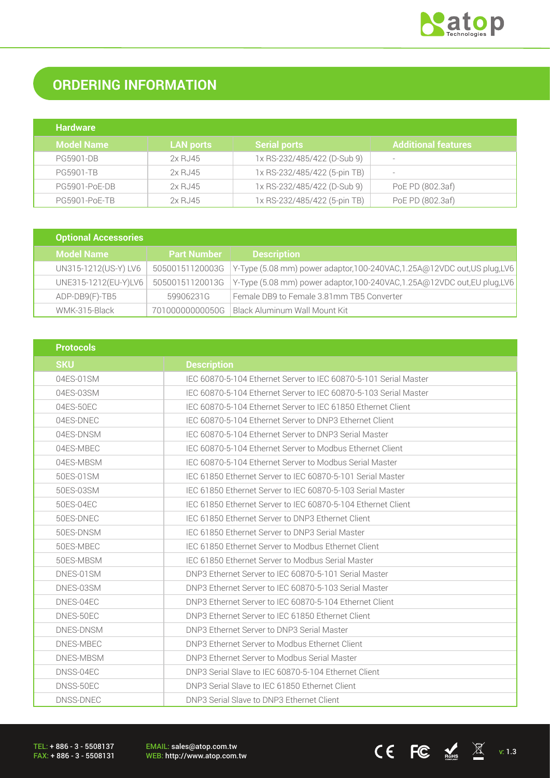

# **ORDERING INFORMATION**

| <b>Hardware</b>   |                  |                              |                            |
|-------------------|------------------|------------------------------|----------------------------|
| <b>Model Name</b> | <b>LAN ports</b> | <b>Serial ports</b>          | <b>Additional features</b> |
| <b>PG5901-DB</b>  | 2x RJ45          | 1x RS-232/485/422 (D-Sub 9)  | $\overline{\phantom{0}}$   |
| <b>PG5901-TB</b>  | 2x RJ45          | 1x RS-232/485/422 (5-pin TB) | $\overline{\phantom{0}}$   |
| PG5901-PoE-DB     | 2x RJ45          | 1x RS-232/485/422 (D-Sub 9)  | PoE PD (802.3af)           |
| PG5901-PoE-TB     | 2x RJ45          | 1x RS-232/485/422 (5-pin TB) | PoE PD (802.3af)           |

| <b>Optional Accessories</b> |                    |                                                                           |
|-----------------------------|--------------------|---------------------------------------------------------------------------|
| <b>Model Name</b>           | <b>Part Number</b> | <b>Description</b>                                                        |
| UN315-1212(US-Y) LV6        | 50500151120003G    | Y-Type (5.08 mm) power adaptor, 100-240VAC, 1.25A@12VDC out, US plug, LV6 |
| UNE315-1212(EU-Y)LV6        | 50500151120013G    | Y-Type (5.08 mm) power adaptor,100-240VAC,1.25A@12VDC out,EU plug,LV6     |
| ADP-DB9(F)-TB5              | 59906231G          | Female DB9 to Female 3.81mm TB5 Converter                                 |
| WMK-315-Black               | 70100000000050G    | Black Aluminum Wall Mount Kit                                             |

| <b>Protocols</b> |                                                                  |  |
|------------------|------------------------------------------------------------------|--|
| <b>SKU</b>       | <b>Description</b>                                               |  |
| 04ES-01SM        | IEC 60870-5-104 Ethernet Server to IEC 60870-5-101 Serial Master |  |
| 04ES-03SM        | IEC 60870-5-104 Ethernet Server to IEC 60870-5-103 Serial Master |  |
| 04ES-50EC        | IEC 60870-5-104 Ethernet Server to IEC 61850 Ethernet Client     |  |
| 04ES-DNEC        | IEC 60870-5-104 Ethernet Server to DNP3 Ethernet Client          |  |
| 04ES-DNSM        | IEC 60870-5-104 Ethernet Server to DNP3 Serial Master            |  |
| 04ES-MBEC        | IEC 60870-5-104 Ethernet Server to Modbus Ethernet Client        |  |
| 04ES-MBSM        | IEC 60870-5-104 Ethernet Server to Modbus Serial Master          |  |
| 50ES-01SM        | IEC 61850 Ethernet Server to IEC 60870-5-101 Serial Master       |  |
| 50ES-03SM        | IEC 61850 Ethernet Server to IEC 60870-5-103 Serial Master       |  |
| 50ES-04EC        | IEC 61850 Ethernet Server to IEC 60870-5-104 Ethernet Client     |  |
| 50ES-DNEC        | IEC 61850 Ethernet Server to DNP3 Ethernet Client                |  |
| 50ES-DNSM        | IFC 61850 Ethernet Server to DNP3 Serial Master                  |  |
| 50ES-MBEC        | IEC 61850 Ethernet Server to Modbus Ethernet Client              |  |
| 50ES-MBSM        | IEC 61850 Ethernet Server to Modbus Serial Master                |  |
| DNES-01SM        | DNP3 Ethernet Server to IEC 60870-5-101 Serial Master            |  |
| DNES-03SM        | DNP3 Ethernet Server to IEC 60870-5-103 Serial Master            |  |
| DNES-04EC        | DNP3 Ethernet Server to IEC 60870-5-104 Ethernet Client          |  |
| DNES-50EC        | DNP3 Ethernet Server to IEC 61850 Ethernet Client                |  |
| DNES-DNSM        | DNP3 Ethernet Server to DNP3 Serial Master                       |  |
| DNES-MBEC        | DNP3 Ethernet Server to Modbus Ethernet Client                   |  |
| DNES-MBSM        | DNP3 Ethernet Server to Modbus Serial Master                     |  |
| DNSS-04EC        | DNP3 Serial Slave to IEC 60870-5-104 Ethernet Client             |  |
| DNSS-50EC        | DNP3 Serial Slave to IEC 61850 Ethernet Client                   |  |
| DNSS-DNEC        | DNP3 Serial Slave to DNP3 Ethernet Client                        |  |